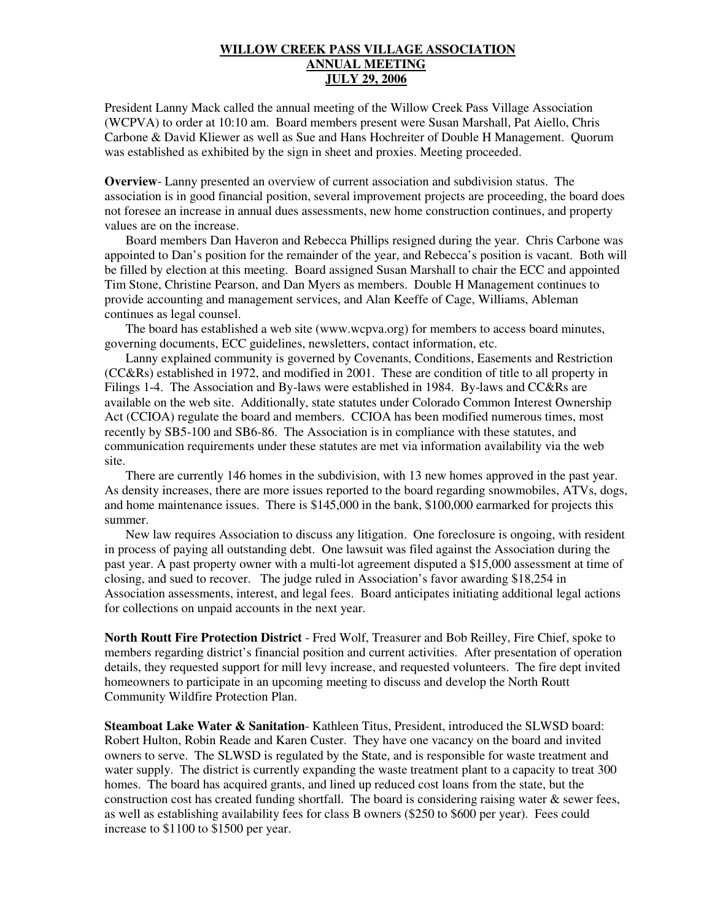## **WILLOW CREEK PASS VILLAGE ASSOCIATION ANNUAL MEETING JULY 29, 2006**

President Lanny Mack called the annual meeting of the Willow Creek Pass Village Association (WCPVA) to order at 10:10 am. Board members present were Susan Marshall, Pat Aiello, Chris Carbone & David Kliewer as well as Sue and Hans Hochreiter of Double H Management. Quorum was established as exhibited by the sign in sheet and proxies. Meeting proceeded.

**Overview**- Lanny presented an overview of current association and subdivision status. The association is in good financial position, several improvement projects are proceeding, the board does not foresee an increase in annual dues assessments, new home construction continues, and property values are on the increase.

Board members Dan Haveron and Rebecca Phillips resigned during the year. Chris Carbone was appointed to Dan's position for the remainder of the year, and Rebecca's position is vacant. Both will be filled by election at this meeting. Board assigned Susan Marshall to chair the ECC and appointed Tim Stone, Christine Pearson, and Dan Myers as members. Double H Management continues to provide accounting and management services, and Alan Keeffe of Cage, Williams, Ableman continues as legal counsel.

The board has established a web site (www.wcpva.org) for members to access board minutes, governing documents, ECC guidelines, newsletters, contact information, etc.

Lanny explained community is governed by Covenants, Conditions, Easements and Restriction (CC&Rs) established in 1972, and modified in 2001. These are condition of title to all property in Filings 1-4. The Association and By-laws were established in 1984. By-laws and CC&Rs are available on the web site. Additionally, state statutes under Colorado Common Interest Ownership Act (CCIOA) regulate the board and members. CCIOA has been modified numerous times, most recently by SB5-100 and SB6-86. The Association is in compliance with these statutes, and communication requirements under these statutes are met via information availability via the web site.

There are currently 146 homes in the subdivision, with 13 new homes approved in the past year. As density increases, there are more issues reported to the board regarding snowmobiles, ATVs, dogs, and home maintenance issues. There is \$145,000 in the bank, \$100,000 earmarked for projects this summer.

New law requires Association to discuss any litigation. One foreclosure is ongoing, with resident in process of paying all outstanding debt. One lawsuit was filed against the Association during the past year. A past property owner with a multi-lot agreement disputed a \$15,000 assessment at time of closing, and sued to recover. The judge ruled in Association's favor awarding \$18,254 in Association assessments, interest, and legal fees. Board anticipates initiating additional legal actions for collections on unpaid accounts in the next year.

**North Routt Fire Protection District** - Fred Wolf, Treasurer and Bob Reilley, Fire Chief, spoke to members regarding district's financial position and current activities. After presentation of operation details, they requested support for mill levy increase, and requested volunteers. The fire dept invited homeowners to participate in an upcoming meeting to discuss and develop the North Routt Community Wildfire Protection Plan.

**Steamboat Lake Water & Sanitation**- Kathleen Titus, President, introduced the SLWSD board: Robert Hulton, Robin Reade and Karen Custer. They have one vacancy on the board and invited owners to serve. The SLWSD is regulated by the State, and is responsible for waste treatment and water supply. The district is currently expanding the waste treatment plant to a capacity to treat 300 homes. The board has acquired grants, and lined up reduced cost loans from the state, but the construction cost has created funding shortfall. The board is considering raising water  $\&$  sewer fees, as well as establishing availability fees for class B owners (\$250 to \$600 per year). Fees could increase to \$1100 to \$1500 per year.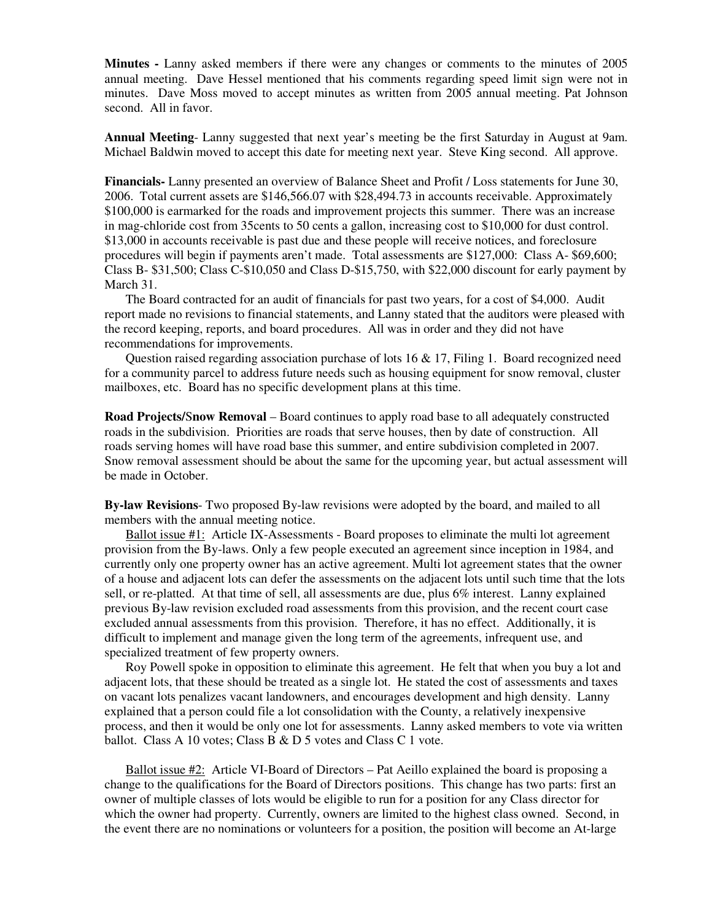**Minutes -** Lanny asked members if there were any changes or comments to the minutes of 2005 annual meeting. Dave Hessel mentioned that his comments regarding speed limit sign were not in minutes. Dave Moss moved to accept minutes as written from 2005 annual meeting. Pat Johnson second. All in favor.

**Annual Meeting**- Lanny suggested that next year's meeting be the first Saturday in August at 9am. Michael Baldwin moved to accept this date for meeting next year. Steve King second. All approve.

**Financials-** Lanny presented an overview of Balance Sheet and Profit / Loss statements for June 30, 2006. Total current assets are \$146,566.07 with \$28,494.73 in accounts receivable. Approximately \$100,000 is earmarked for the roads and improvement projects this summer. There was an increase in mag-chloride cost from 35cents to 50 cents a gallon, increasing cost to \$10,000 for dust control. \$13,000 in accounts receivable is past due and these people will receive notices, and foreclosure procedures will begin if payments aren't made. Total assessments are \$127,000: Class A- \$69,600; Class B- \$31,500; Class C-\$10,050 and Class D-\$15,750, with \$22,000 discount for early payment by March 31.

The Board contracted for an audit of financials for past two years, for a cost of \$4,000. Audit report made no revisions to financial statements, and Lanny stated that the auditors were pleased with the record keeping, reports, and board procedures. All was in order and they did not have recommendations for improvements.

Question raised regarding association purchase of lots 16 & 17, Filing 1. Board recognized need for a community parcel to address future needs such as housing equipment for snow removal, cluster mailboxes, etc. Board has no specific development plans at this time.

**Road Projects/**S**now Removal** – Board continues to apply road base to all adequately constructed roads in the subdivision. Priorities are roads that serve houses, then by date of construction. All roads serving homes will have road base this summer, and entire subdivision completed in 2007. Snow removal assessment should be about the same for the upcoming year, but actual assessment will be made in October.

**By-law Revisions**- Two proposed By-law revisions were adopted by the board, and mailed to all members with the annual meeting notice.

Ballot issue #1: Article IX-Assessments - Board proposes to eliminate the multi lot agreement provision from the By-laws. Only a few people executed an agreement since inception in 1984, and currently only one property owner has an active agreement. Multi lot agreement states that the owner of a house and adjacent lots can defer the assessments on the adjacent lots until such time that the lots sell, or re-platted. At that time of sell, all assessments are due, plus 6% interest. Lanny explained previous By-law revision excluded road assessments from this provision, and the recent court case excluded annual assessments from this provision. Therefore, it has no effect. Additionally, it is difficult to implement and manage given the long term of the agreements, infrequent use, and specialized treatment of few property owners.

Roy Powell spoke in opposition to eliminate this agreement. He felt that when you buy a lot and adjacent lots, that these should be treated as a single lot. He stated the cost of assessments and taxes on vacant lots penalizes vacant landowners, and encourages development and high density. Lanny explained that a person could file a lot consolidation with the County, a relatively inexpensive process, and then it would be only one lot for assessments. Lanny asked members to vote via written ballot. Class A 10 votes; Class B & D 5 votes and Class C 1 vote.

Ballot issue #2: Article VI-Board of Directors – Pat Aeillo explained the board is proposing a change to the qualifications for the Board of Directors positions. This change has two parts: first an owner of multiple classes of lots would be eligible to run for a position for any Class director for which the owner had property. Currently, owners are limited to the highest class owned. Second, in the event there are no nominations or volunteers for a position, the position will become an At-large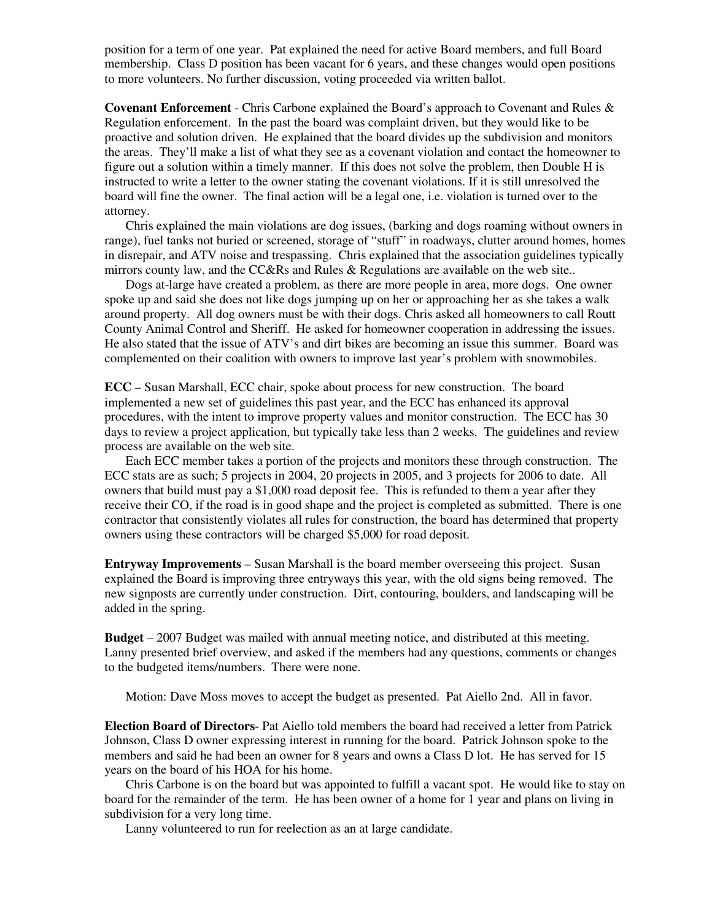position for a term of one year. Pat explained the need for active Board members, and full Board membership. Class D position has been vacant for 6 years, and these changes would open positions to more volunteers. No further discussion, voting proceeded via written ballot.

**Covenant Enforcement** - Chris Carbone explained the Board's approach to Covenant and Rules & Regulation enforcement. In the past the board was complaint driven, but they would like to be proactive and solution driven. He explained that the board divides up the subdivision and monitors the areas. They'll make a list of what they see as a covenant violation and contact the homeowner to figure out a solution within a timely manner. If this does not solve the problem, then Double H is instructed to write a letter to the owner stating the covenant violations. If it is still unresolved the board will fine the owner. The final action will be a legal one, i.e. violation is turned over to the attorney.

Chris explained the main violations are dog issues, (barking and dogs roaming without owners in range), fuel tanks not buried or screened, storage of "stuff" in roadways, clutter around homes, homes in disrepair, and ATV noise and trespassing. Chris explained that the association guidelines typically mirrors county law, and the CC&Rs and Rules & Regulations are available on the web site..

Dogs at-large have created a problem, as there are more people in area, more dogs. One owner spoke up and said she does not like dogs jumping up on her or approaching her as she takes a walk around property. All dog owners must be with their dogs. Chris asked all homeowners to call Routt County Animal Control and Sheriff. He asked for homeowner cooperation in addressing the issues. He also stated that the issue of ATV's and dirt bikes are becoming an issue this summer. Board was complemented on their coalition with owners to improve last year's problem with snowmobiles.

**ECC** – Susan Marshall, ECC chair, spoke about process for new construction. The board implemented a new set of guidelines this past year, and the ECC has enhanced its approval procedures, with the intent to improve property values and monitor construction. The ECC has 30 days to review a project application, but typically take less than 2 weeks. The guidelines and review process are available on the web site.

Each ECC member takes a portion of the projects and monitors these through construction. The ECC stats are as such; 5 projects in 2004, 20 projects in 2005, and 3 projects for 2006 to date. All owners that build must pay a \$1,000 road deposit fee. This is refunded to them a year after they receive their CO, if the road is in good shape and the project is completed as submitted. There is one contractor that consistently violates all rules for construction, the board has determined that property owners using these contractors will be charged \$5,000 for road deposit.

**Entryway Improvements** – Susan Marshall is the board member overseeing this project. Susan explained the Board is improving three entryways this year, with the old signs being removed. The new signposts are currently under construction. Dirt, contouring, boulders, and landscaping will be added in the spring.

**Budget** – 2007 Budget was mailed with annual meeting notice, and distributed at this meeting. Lanny presented brief overview, and asked if the members had any questions, comments or changes to the budgeted items/numbers. There were none.

Motion: Dave Moss moves to accept the budget as presented. Pat Aiello 2nd. All in favor.

**Election Board of Directors**- Pat Aiello told members the board had received a letter from Patrick Johnson, Class D owner expressing interest in running for the board. Patrick Johnson spoke to the members and said he had been an owner for 8 years and owns a Class D lot. He has served for 15 years on the board of his HOA for his home.

Chris Carbone is on the board but was appointed to fulfill a vacant spot. He would like to stay on board for the remainder of the term. He has been owner of a home for 1 year and plans on living in subdivision for a very long time.

Lanny volunteered to run for reelection as an at large candidate.